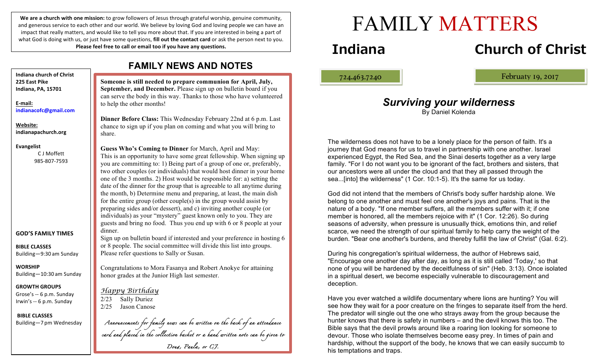We are a church with one mission: to grow followers of Jesus through grateful worship, genuine community, and generous service to each other and our world. We believe by loving God and loving people we can have an impact that really matters, and would like to tell you more about that. If you are interested in being a part of what God is doing with us, or just have some questions, **fill out the contact card** or ask the person next to you. Please feel free to call or email too if you have any questions.

**Indiana church of Christ 225 East Pike Indiana, PA, 15701**

**E-mail: indianacofc@gmail.com**

**Website: indianapachurch.org**

**Evangelist**

C J Moffett 985-807-7593

### **GOD'S FAMILY TIMES**

**BIBLE CLASSES** Building—9:30 am Sunday

**WORSHIP** Building—10:30 am Sunday

**GROWTH GROUPS** Grose's -- 6 p.m. Sunday Irwin's -- 6 p.m. Sunday

**BIBLE CLASSES** Building—7 pm Wednesday

## **FAMILY NEWS AND NOTES**

**Someone is still needed to prepare communion for April, July, September, and December.** Please sign up on bulletin board if you can serve the body in this way. Thanks to those who have volunteered to help the other months!

**Dinner Before Class:** This Wednesday February 22nd at 6 p.m. Last chance to sign up if you plan on coming and what you will bring to share.

**Guess Who's Coming to Dinner** for March, April and May: This is an opportunity to have some great fellowship. When signing up you are committing to: 1) Being part of a group of one or, preferably, two other couples (or individuals) that would host dinner in your home one of the 3 months. 2) Host would be responsible for: a) setting the date of the dinner for the group that is agreeable to all anytime during the month, b) Determine menu and preparing, at least, the main dish for the entire group (other couple(s) in the group would assist by preparing sides and/or dessert), and c) inviting another couple (or individuals) as your "mystery" guest known only to you. They are guests and bring no food. Thus you end up with 6 or 8 people at your dinner.

Sign up on bulletin board if interested and your preference in hosting 6 or 8 people. The social committee will divide this list into groups. Please refer questions to Sally or Susan.

Congratulations to Mora Fasanya and Robert Anokye for attaining honor grades at the Junior High last semester.

*Happy Birthday* 2/23 Sally Duriez 2/25 Jason Canose

*Announcements for family news can be written on the back of an attendance card and placed in the collection basket or a hand written note can be given to Doug, Paula, or CJ.*

# FAMILY MATTERS

## **Indiana Church of Christ**

ļ

724.463.7240 Februaty 19, 2017

## *Surviving your wilderness*

By Daniel Kolenda

The wilderness does not have to be a lonely place for the person of faith. It's a journey that God means for us to travel in partnership with one another. Israel experienced Egypt, the Red Sea, and the Sinai deserts together as a very large family. "For I do not want you to be ignorant of the fact, brothers and sisters, that our ancestors were all under the cloud and that they all passed through the sea...[into] the wilderness" (1 Cor. 10:1-5). It's the same for us today.

God did not intend that the members of Christ's body suffer hardship alone. We belong to one another and must feel one another's joys and pains. That is the nature of a body. "If one member suffers, all the members suffer with it; if one member is honored, all the members rejoice with it" (1 Cor. 12:26). So during seasons of adversity, when pressure is unusually thick, emotions thin, and relief scarce, we need the strength of our spiritual family to help carry the weight of the burden. "Bear one another's burdens, and thereby fulfill the law of Christ" (Gal. 6:2).

During his congregation's spiritual wilderness, the author of Hebrews said, "Encourage one another day after day, as long as it is still called 'Today,' so that none of you will be hardened by the deceitfulness of sin" (Heb. 3:13). Once isolated in a spiritual desert, we become especially vulnerable to discouragement and deception.

Have you ever watched a wildlife documentary where lions are hunting? You will see how they wait for a poor creature on the fringes to separate itself from the herd. The predator will single out the one who strays away from the group because the hunter knows that there is safety in numbers – and the devil knows this too. The Bible says that the devil prowls around like a roaring lion looking for someone to devour. Those who isolate themselves become easy prey. In times of pain and hardship, without the support of the body, he knows that we can easily succumb to his temptations and traps.